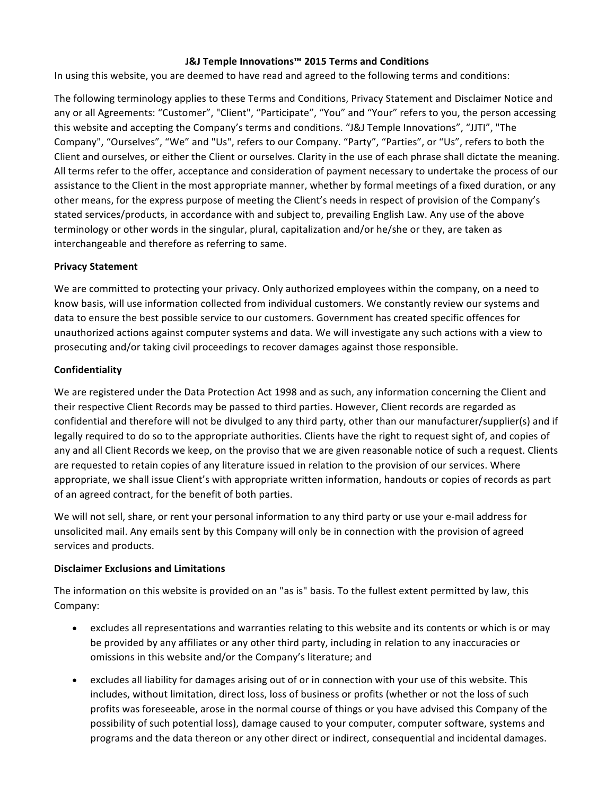### **J&J Temple Innovations™ 2015 Terms and Conditions**

In using this website, you are deemed to have read and agreed to the following terms and conditions:

The following terminology applies to these Terms and Conditions, Privacy Statement and Disclaimer Notice and any or all Agreements: "Customer", "Client", "Participate", "You" and "Your" refers to you, the person accessing this website and accepting the Company's terms and conditions. "J&J Temple Innovations", "JJTI", "The Company", "Ourselves", "We" and "Us", refers to our Company. "Party", "Parties", or "Us", refers to both the Client and ourselves, or either the Client or ourselves. Clarity in the use of each phrase shall dictate the meaning. All terms refer to the offer, acceptance and consideration of payment necessary to undertake the process of our assistance to the Client in the most appropriate manner, whether by formal meetings of a fixed duration, or any other means, for the express purpose of meeting the Client's needs in respect of provision of the Company's stated services/products, in accordance with and subject to, prevailing English Law. Any use of the above terminology or other words in the singular, plural, capitalization and/or he/she or they, are taken as interchangeable and therefore as referring to same.

#### **Privacy Statement**

We are committed to protecting your privacy. Only authorized employees within the company, on a need to know basis, will use information collected from individual customers. We constantly review our systems and data to ensure the best possible service to our customers. Government has created specific offences for unauthorized actions against computer systems and data. We will investigate any such actions with a view to prosecuting and/or taking civil proceedings to recover damages against those responsible.

#### **Confidentiality**

We are registered under the Data Protection Act 1998 and as such, any information concerning the Client and their respective Client Records may be passed to third parties. However, Client records are regarded as confidential and therefore will not be divulged to any third party, other than our manufacturer/supplier(s) and if legally required to do so to the appropriate authorities. Clients have the right to request sight of, and copies of any and all Client Records we keep, on the proviso that we are given reasonable notice of such a request. Clients are requested to retain copies of any literature issued in relation to the provision of our services. Where appropriate, we shall issue Client's with appropriate written information, handouts or copies of records as part of an agreed contract, for the benefit of both parties.

We will not sell, share, or rent your personal information to any third party or use your e-mail address for unsolicited mail. Any emails sent by this Company will only be in connection with the provision of agreed services and products.

#### **Disclaimer Exclusions and Limitations**

The information on this website is provided on an "as is" basis. To the fullest extent permitted by law, this Company:

- excludes all representations and warranties relating to this website and its contents or which is or may be provided by any affiliates or any other third party, including in relation to any inaccuracies or omissions in this website and/or the Company's literature; and
- excludes all liability for damages arising out of or in connection with your use of this website. This includes, without limitation, direct loss, loss of business or profits (whether or not the loss of such profits was foreseeable, arose in the normal course of things or you have advised this Company of the possibility of such potential loss), damage caused to your computer, computer software, systems and programs and the data thereon or any other direct or indirect, consequential and incidental damages.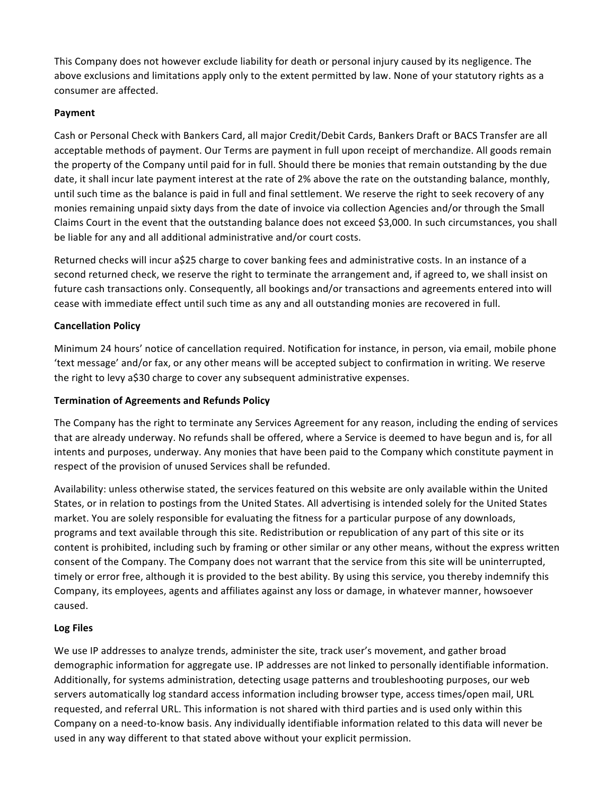This Company does not however exclude liability for death or personal injury caused by its negligence. The above exclusions and limitations apply only to the extent permitted by law. None of your statutory rights as a consumer are affected.

# **Payment**

Cash or Personal Check with Bankers Card, all major Credit/Debit Cards, Bankers Draft or BACS Transfer are all acceptable methods of payment. Our Terms are payment in full upon receipt of merchandize. All goods remain the property of the Company until paid for in full. Should there be monies that remain outstanding by the due date, it shall incur late payment interest at the rate of 2% above the rate on the outstanding balance, monthly, until such time as the balance is paid in full and final settlement. We reserve the right to seek recovery of any monies remaining unpaid sixty days from the date of invoice via collection Agencies and/or through the Small Claims Court in the event that the outstanding balance does not exceed \$3,000. In such circumstances, you shall be liable for any and all additional administrative and/or court costs.

Returned checks will incur a\$25 charge to cover banking fees and administrative costs. In an instance of a second returned check, we reserve the right to terminate the arrangement and, if agreed to, we shall insist on future cash transactions only. Consequently, all bookings and/or transactions and agreements entered into will cease with immediate effect until such time as any and all outstanding monies are recovered in full.

## **Cancellation Policy**

Minimum 24 hours' notice of cancellation required. Notification for instance, in person, via email, mobile phone 'text message' and/or fax, or any other means will be accepted subject to confirmation in writing. We reserve the right to levy a\$30 charge to cover any subsequent administrative expenses.

### **Termination of Agreements and Refunds Policy**

The Company has the right to terminate any Services Agreement for any reason, including the ending of services that are already underway. No refunds shall be offered, where a Service is deemed to have begun and is, for all intents and purposes, underway. Any monies that have been paid to the Company which constitute payment in respect of the provision of unused Services shall be refunded.

Availability: unless otherwise stated, the services featured on this website are only available within the United States, or in relation to postings from the United States. All advertising is intended solely for the United States market. You are solely responsible for evaluating the fitness for a particular purpose of any downloads, programs and text available through this site. Redistribution or republication of any part of this site or its content is prohibited, including such by framing or other similar or any other means, without the express written consent of the Company. The Company does not warrant that the service from this site will be uninterrupted, timely or error free, although it is provided to the best ability. By using this service, you thereby indemnify this Company, its employees, agents and affiliates against any loss or damage, in whatever manner, howsoever caused.

#### Log Files

We use IP addresses to analyze trends, administer the site, track user's movement, and gather broad demographic information for aggregate use. IP addresses are not linked to personally identifiable information. Additionally, for systems administration, detecting usage patterns and troubleshooting purposes, our web servers automatically log standard access information including browser type, access times/open mail, URL requested, and referral URL. This information is not shared with third parties and is used only within this Company on a need-to-know basis. Any individually identifiable information related to this data will never be used in any way different to that stated above without your explicit permission.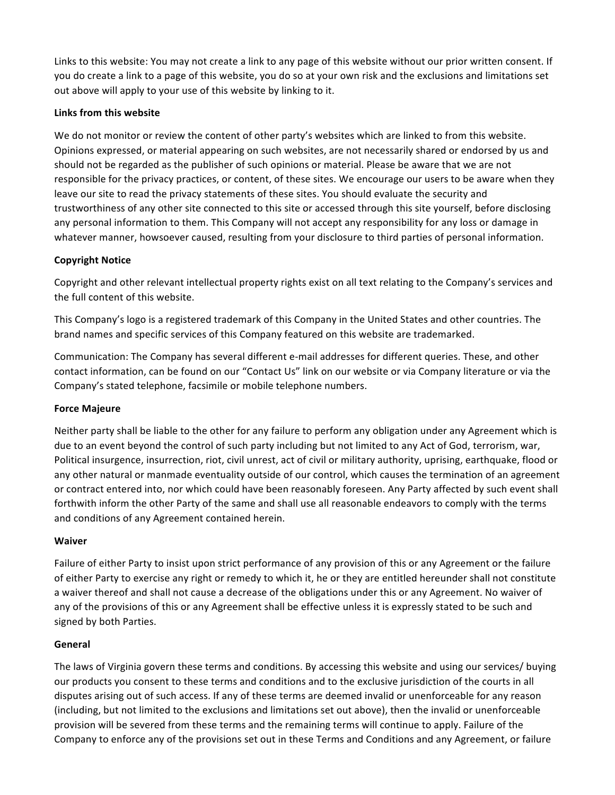Links to this website: You may not create a link to any page of this website without our prior written consent. If you do create a link to a page of this website, you do so at your own risk and the exclusions and limitations set out above will apply to your use of this website by linking to it.

## **Links from this website**

We do not monitor or review the content of other party's websites which are linked to from this website. Opinions expressed, or material appearing on such websites, are not necessarily shared or endorsed by us and should not be regarded as the publisher of such opinions or material. Please be aware that we are not responsible for the privacy practices, or content, of these sites. We encourage our users to be aware when they leave our site to read the privacy statements of these sites. You should evaluate the security and trustworthiness of any other site connected to this site or accessed through this site yourself, before disclosing any personal information to them. This Company will not accept any responsibility for any loss or damage in whatever manner, howsoever caused, resulting from your disclosure to third parties of personal information.

## **Copyright Notice**

Copyright and other relevant intellectual property rights exist on all text relating to the Company's services and the full content of this website.

This Company's logo is a registered trademark of this Company in the United States and other countries. The brand names and specific services of this Company featured on this website are trademarked.

Communication: The Company has several different e-mail addresses for different queries. These, and other contact information, can be found on our "Contact Us" link on our website or via Company literature or via the Company's stated telephone, facsimile or mobile telephone numbers.

#### **Force Majeure**

Neither party shall be liable to the other for any failure to perform any obligation under any Agreement which is due to an event beyond the control of such party including but not limited to any Act of God, terrorism, war, Political insurgence, insurrection, riot, civil unrest, act of civil or military authority, uprising, earthquake, flood or any other natural or manmade eventuality outside of our control, which causes the termination of an agreement or contract entered into, nor which could have been reasonably foreseen. Any Party affected by such event shall forthwith inform the other Party of the same and shall use all reasonable endeavors to comply with the terms and conditions of any Agreement contained herein.

#### **Waiver**

Failure of either Party to insist upon strict performance of any provision of this or any Agreement or the failure of either Party to exercise any right or remedy to which it, he or they are entitled hereunder shall not constitute a waiver thereof and shall not cause a decrease of the obligations under this or any Agreement. No waiver of any of the provisions of this or any Agreement shall be effective unless it is expressly stated to be such and signed by both Parties.

#### **General**

The laws of Virginia govern these terms and conditions. By accessing this website and using our services/ buying our products you consent to these terms and conditions and to the exclusive jurisdiction of the courts in all disputes arising out of such access. If any of these terms are deemed invalid or unenforceable for any reason (including, but not limited to the exclusions and limitations set out above), then the invalid or unenforceable provision will be severed from these terms and the remaining terms will continue to apply. Failure of the Company to enforce any of the provisions set out in these Terms and Conditions and any Agreement, or failure